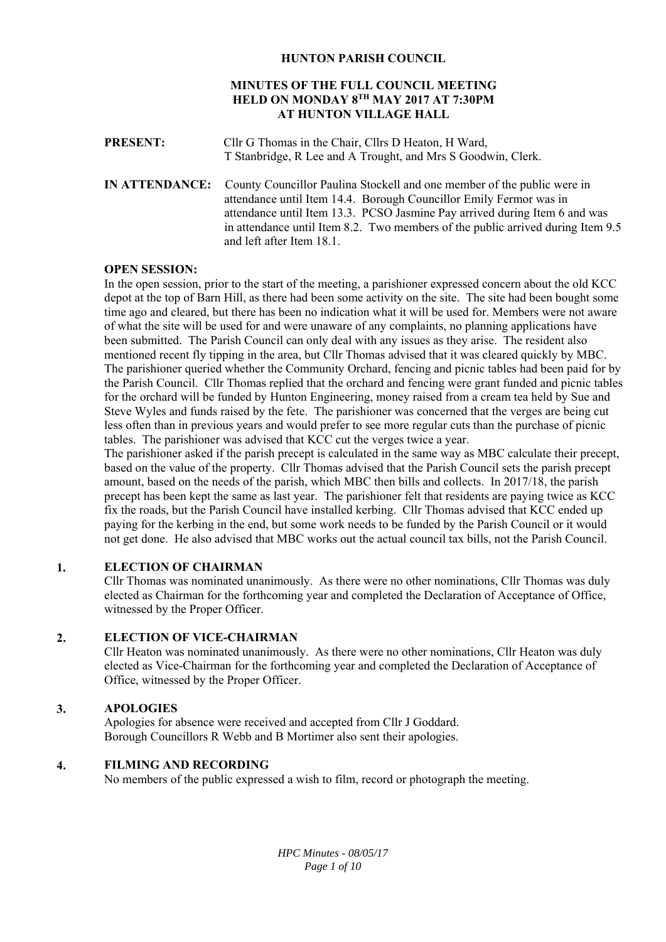# **HUNTON PARISH COUNCIL**

# **MINUTES OF THE FULL COUNCIL MEETING HELD ON MONDAY 8TH MAY 2017 AT 7:30PM AT HUNTON VILLAGE HALL**

**PRESENT:** Cllr G Thomas in the Chair, Cllrs D Heaton, H Ward, T Stanbridge, R Lee and A Trought, and Mrs S Goodwin, Clerk. **IN ATTENDANCE:** County Councillor Paulina Stockell and one member of the public were in attendance until Item 14.4. Borough Councillor Emily Fermor was in attendance until Item 13.3. PCSO Jasmine Pay arrived during Item 6 and was in attendance until Item 8.2. Two members of the public arrived during Item 9.5 and left after Item 18.1.

# **OPEN SESSION:**

In the open session, prior to the start of the meeting, a parishioner expressed concern about the old KCC depot at the top of Barn Hill, as there had been some activity on the site. The site had been bought some time ago and cleared, but there has been no indication what it will be used for. Members were not aware of what the site will be used for and were unaware of any complaints, no planning applications have been submitted. The Parish Council can only deal with any issues as they arise. The resident also mentioned recent fly tipping in the area, but Cllr Thomas advised that it was cleared quickly by MBC. The parishioner queried whether the Community Orchard, fencing and picnic tables had been paid for by the Parish Council. Cllr Thomas replied that the orchard and fencing were grant funded and picnic tables for the orchard will be funded by Hunton Engineering, money raised from a cream tea held by Sue and Steve Wyles and funds raised by the fete. The parishioner was concerned that the verges are being cut less often than in previous years and would prefer to see more regular cuts than the purchase of picnic tables. The parishioner was advised that KCC cut the verges twice a year.

The parishioner asked if the parish precept is calculated in the same way as MBC calculate their precept, based on the value of the property. Cllr Thomas advised that the Parish Council sets the parish precept amount, based on the needs of the parish, which MBC then bills and collects. In 2017/18, the parish precept has been kept the same as last year. The parishioner felt that residents are paying twice as KCC fix the roads, but the Parish Council have installed kerbing. Cllr Thomas advised that KCC ended up paying for the kerbing in the end, but some work needs to be funded by the Parish Council or it would not get done. He also advised that MBC works out the actual council tax bills, not the Parish Council.

#### **1. ELECTION OF CHAIRMAN**

Cllr Thomas was nominated unanimously. As there were no other nominations, Cllr Thomas was duly elected as Chairman for the forthcoming year and completed the Declaration of Acceptance of Office, witnessed by the Proper Officer.

#### **2. ELECTION OF VICE-CHAIRMAN**

Cllr Heaton was nominated unanimously. As there were no other nominations, Cllr Heaton was duly elected as Vice-Chairman for the forthcoming year and completed the Declaration of Acceptance of Office, witnessed by the Proper Officer.

#### **3. APOLOGIES**

Apologies for absence were received and accepted from Cllr J Goddard. Borough Councillors R Webb and B Mortimer also sent their apologies.

#### **4. FILMING AND RECORDING**

No members of the public expressed a wish to film, record or photograph the meeting.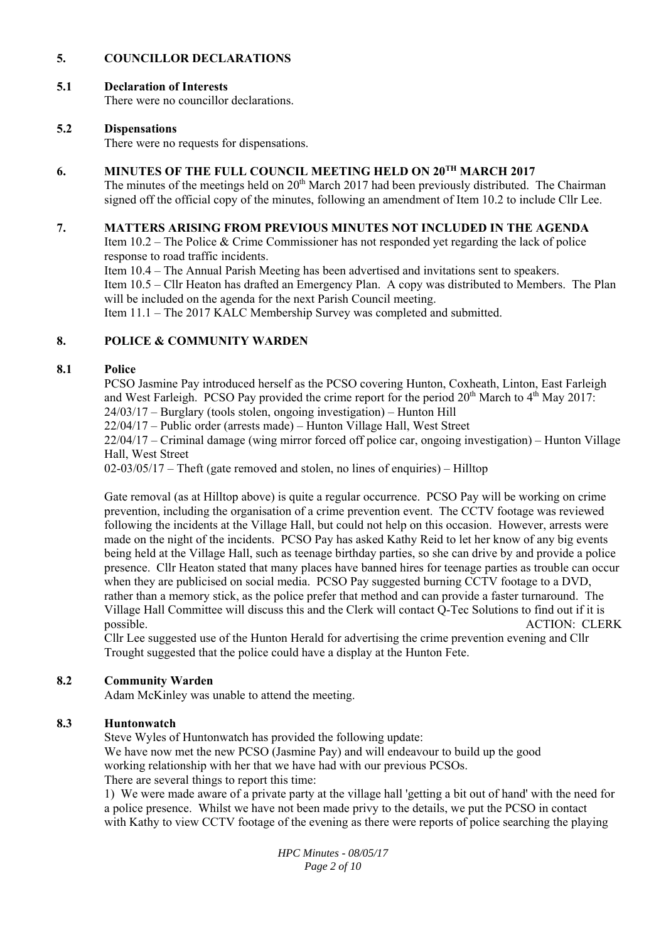#### **5. COUNCILLOR DECLARATIONS**

#### **5.1 Declaration of Interests**

There were no councillor declarations.

#### **5.2 Dispensations**

There were no requests for dispensations.

#### **6. MINUTES OF THE FULL COUNCIL MEETING HELD ON 20TH MARCH 2017**

The minutes of the meetings held on  $20<sup>th</sup>$  March 2017 had been previously distributed. The Chairman signed off the official copy of the minutes, following an amendment of Item 10.2 to include Cllr Lee.

#### **7. MATTERS ARISING FROM PREVIOUS MINUTES NOT INCLUDED IN THE AGENDA**

Item 10.2 – The Police & Crime Commissioner has not responded yet regarding the lack of police response to road traffic incidents.

Item 10.4 – The Annual Parish Meeting has been advertised and invitations sent to speakers.

Item 10.5 – Cllr Heaton has drafted an Emergency Plan. A copy was distributed to Members. The Plan will be included on the agenda for the next Parish Council meeting.

Item 11.1 – The 2017 KALC Membership Survey was completed and submitted.

#### **8. POLICE & COMMUNITY WARDEN**

#### **8.1 Police**

PCSO Jasmine Pay introduced herself as the PCSO covering Hunton, Coxheath, Linton, East Farleigh and West Farleigh. PCSO Pay provided the crime report for the period 20<sup>th</sup> March to 4<sup>th</sup> May 2017: 24/03/17 – Burglary (tools stolen, ongoing investigation) – Hunton Hill

22/04/17 – Public order (arrests made) – Hunton Village Hall, West Street

22/04/17 – Criminal damage (wing mirror forced off police car, ongoing investigation) – Hunton Village Hall, West Street

 $02-03/05/17$  – Theft (gate removed and stolen, no lines of enquiries) – Hilltop

Gate removal (as at Hilltop above) is quite a regular occurrence. PCSO Pay will be working on crime prevention, including the organisation of a crime prevention event. The CCTV footage was reviewed following the incidents at the Village Hall, but could not help on this occasion. However, arrests were made on the night of the incidents. PCSO Pay has asked Kathy Reid to let her know of any big events being held at the Village Hall, such as teenage birthday parties, so she can drive by and provide a police presence. Cllr Heaton stated that many places have banned hires for teenage parties as trouble can occur when they are publicised on social media. PCSO Pay suggested burning CCTV footage to a DVD, rather than a memory stick, as the police prefer that method and can provide a faster turnaround. The Village Hall Committee will discuss this and the Clerk will contact Q-Tec Solutions to find out if it is possible. ACTION: CLERK

Cllr Lee suggested use of the Hunton Herald for advertising the crime prevention evening and Cllr Trought suggested that the police could have a display at the Hunton Fete.

#### **8.2 Community Warden**

Adam McKinley was unable to attend the meeting.

#### **8.3 Huntonwatch**

Steve Wyles of Huntonwatch has provided the following update: We have now met the new PCSO (Jasmine Pay) and will endeavour to build up the good working relationship with her that we have had with our previous PCSOs. There are several things to report this time:

1) We were made aware of a private party at the village hall 'getting a bit out of hand' with the need for a police presence. Whilst we have not been made privy to the details, we put the PCSO in contact with Kathy to view CCTV footage of the evening as there were reports of police searching the playing

> *HPC Minutes - 08/05/17 Page 2 of 10*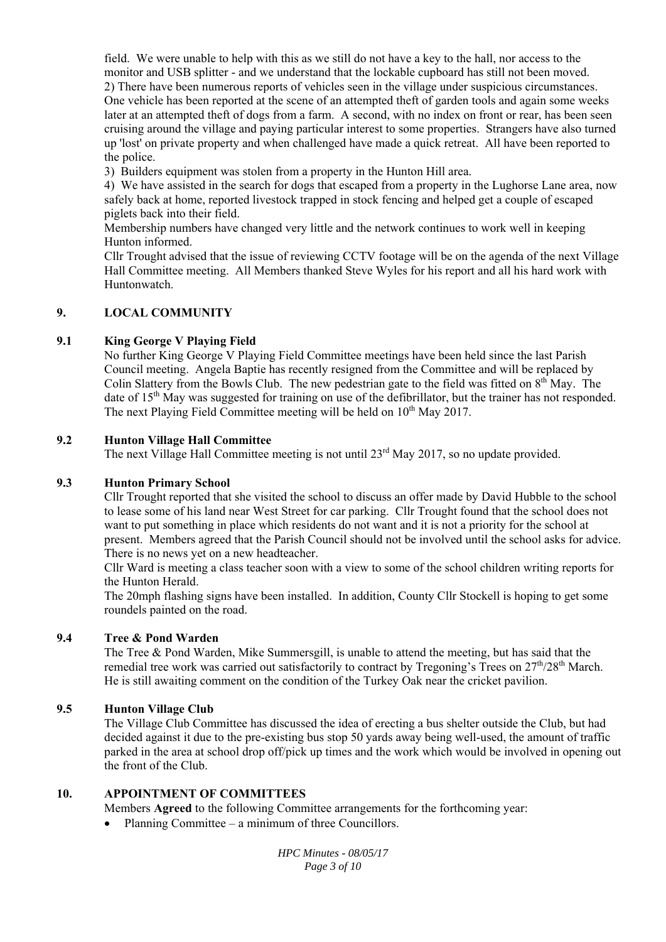field. We were unable to help with this as we still do not have a key to the hall, nor access to the monitor and USB splitter - and we understand that the lockable cupboard has still not been moved. 2) There have been numerous reports of vehicles seen in the village under suspicious circumstances. One vehicle has been reported at the scene of an attempted theft of garden tools and again some weeks later at an attempted theft of dogs from a farm. A second, with no index on front or rear, has been seen cruising around the village and paying particular interest to some properties. Strangers have also turned up 'lost' on private property and when challenged have made a quick retreat. All have been reported to the police.

3) Builders equipment was stolen from a property in the Hunton Hill area.

4) We have assisted in the search for dogs that escaped from a property in the Lughorse Lane area, now safely back at home, reported livestock trapped in stock fencing and helped get a couple of escaped piglets back into their field.

Membership numbers have changed very little and the network continues to work well in keeping Hunton informed.

Cllr Trought advised that the issue of reviewing CCTV footage will be on the agenda of the next Village Hall Committee meeting. All Members thanked Steve Wyles for his report and all his hard work with Huntonwatch.

#### **9. LOCAL COMMUNITY**

#### **9.1 King George V Playing Field**

No further King George V Playing Field Committee meetings have been held since the last Parish Council meeting. Angela Baptie has recently resigned from the Committee and will be replaced by Colin Slattery from the Bowls Club. The new pedestrian gate to the field was fitted on  $8<sup>th</sup>$  May. The date of 15<sup>th</sup> May was suggested for training on use of the defibrillator, but the trainer has not responded. The next Playing Field Committee meeting will be held on  $10<sup>th</sup>$  May 2017.

#### **9.2 Hunton Village Hall Committee**

The next Village Hall Committee meeting is not until 23<sup>rd</sup> May 2017, so no update provided.

#### **9.3 Hunton Primary School**

Cllr Trought reported that she visited the school to discuss an offer made by David Hubble to the school to lease some of his land near West Street for car parking. Cllr Trought found that the school does not want to put something in place which residents do not want and it is not a priority for the school at present. Members agreed that the Parish Council should not be involved until the school asks for advice. There is no news yet on a new headteacher.

Cllr Ward is meeting a class teacher soon with a view to some of the school children writing reports for the Hunton Herald.

The 20mph flashing signs have been installed. In addition, County Cllr Stockell is hoping to get some roundels painted on the road.

#### **9.4 Tree & Pond Warden**

The Tree & Pond Warden, Mike Summersgill, is unable to attend the meeting, but has said that the remedial tree work was carried out satisfactorily to contract by Tregoning's Trees on 27<sup>th</sup>/28<sup>th</sup> March. He is still awaiting comment on the condition of the Turkey Oak near the cricket pavilion.

#### **9.5 Hunton Village Club**

The Village Club Committee has discussed the idea of erecting a bus shelter outside the Club, but had decided against it due to the pre-existing bus stop 50 yards away being well-used, the amount of traffic parked in the area at school drop off/pick up times and the work which would be involved in opening out the front of the Club.

#### **10. APPOINTMENT OF COMMITTEES**

Members **Agreed** to the following Committee arrangements for the forthcoming year:

Planning Committee – a minimum of three Councillors.

*HPC Minutes - 08/05/17 Page 3 of 10*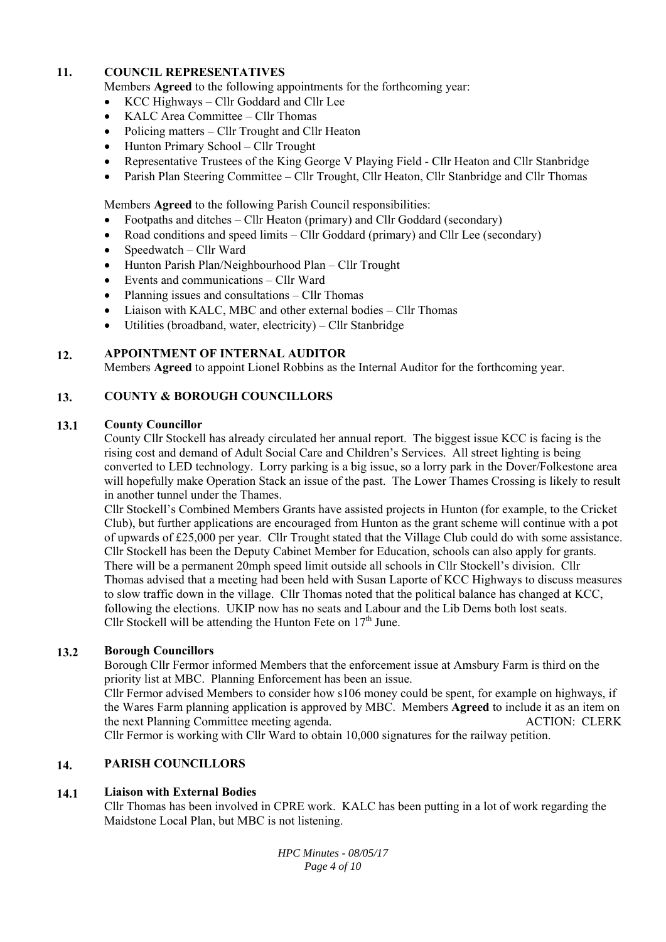#### **11. COUNCIL REPRESENTATIVES**

Members **Agreed** to the following appointments for the forthcoming year:

- KCC Highways Cllr Goddard and Cllr Lee
- KALC Area Committee Cllr Thomas
- Policing matters Cllr Trought and Cllr Heaton
- Hunton Primary School Cllr Trought
- Representative Trustees of the King George V Playing Field Cllr Heaton and Cllr Stanbridge
- Parish Plan Steering Committee Cllr Trought, Cllr Heaton, Cllr Stanbridge and Cllr Thomas

Members **Agreed** to the following Parish Council responsibilities:

- Footpaths and ditches Cllr Heaton (primary) and Cllr Goddard (secondary)
- Road conditions and speed limits Cllr Goddard (primary) and Cllr Lee (secondary)
- $\bullet$  Speedwatch Cllr Ward
- Hunton Parish Plan/Neighbourhood Plan Cllr Trought
- Events and communications Cllr Ward
- Planning issues and consultations Cllr Thomas
- Liaison with KALC, MBC and other external bodies Cllr Thomas
- Utilities (broadband, water, electricity) Cllr Stanbridge

#### **12. APPOINTMENT OF INTERNAL AUDITOR**

Members **Agreed** to appoint Lionel Robbins as the Internal Auditor for the forthcoming year.

#### **13. COUNTY & BOROUGH COUNCILLORS**

#### **13.1 County Councillor**

County Cllr Stockell has already circulated her annual report. The biggest issue KCC is facing is the rising cost and demand of Adult Social Care and Children's Services. All street lighting is being converted to LED technology. Lorry parking is a big issue, so a lorry park in the Dover/Folkestone area will hopefully make Operation Stack an issue of the past. The Lower Thames Crossing is likely to result in another tunnel under the Thames.

Cllr Stockell's Combined Members Grants have assisted projects in Hunton (for example, to the Cricket Club), but further applications are encouraged from Hunton as the grant scheme will continue with a pot of upwards of £25,000 per year. Cllr Trought stated that the Village Club could do with some assistance. Cllr Stockell has been the Deputy Cabinet Member for Education, schools can also apply for grants. There will be a permanent 20mph speed limit outside all schools in Cllr Stockell's division. Cllr Thomas advised that a meeting had been held with Susan Laporte of KCC Highways to discuss measures to slow traffic down in the village. Cllr Thomas noted that the political balance has changed at KCC, following the elections. UKIP now has no seats and Labour and the Lib Dems both lost seats. Cllr Stockell will be attending the Hunton Fete on  $17<sup>th</sup>$  June.

#### **13.2 Borough Councillors**

Borough Cllr Fermor informed Members that the enforcement issue at Amsbury Farm is third on the priority list at MBC. Planning Enforcement has been an issue.

Cllr Fermor advised Members to consider how s106 money could be spent, for example on highways, if the Wares Farm planning application is approved by MBC. Members **Agreed** to include it as an item on the next Planning Committee meeting agenda. ACTION: CLERK Cllr Fermor is working with Cllr Ward to obtain 10,000 signatures for the railway petition.

#### **14. PARISH COUNCILLORS**

#### **14.1 Liaison with External Bodies**

Cllr Thomas has been involved in CPRE work. KALC has been putting in a lot of work regarding the Maidstone Local Plan, but MBC is not listening.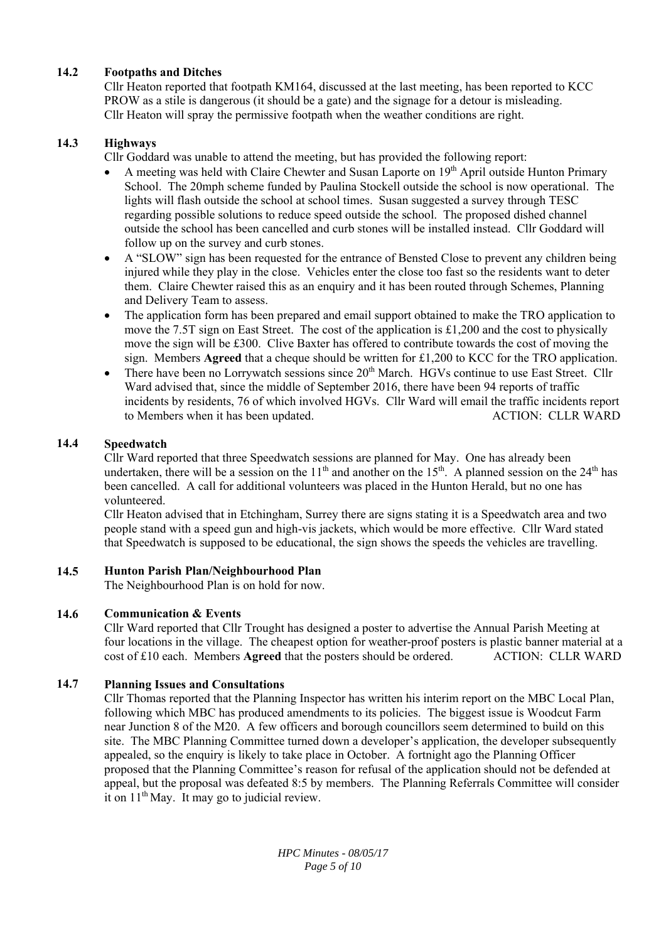#### **14.2 Footpaths and Ditches**

Cllr Heaton reported that footpath KM164, discussed at the last meeting, has been reported to KCC PROW as a stile is dangerous (it should be a gate) and the signage for a detour is misleading. Cllr Heaton will spray the permissive footpath when the weather conditions are right.

#### **14.3 Highways**

Cllr Goddard was unable to attend the meeting, but has provided the following report:

- A meeting was held with Claire Chewter and Susan Laporte on  $19<sup>th</sup>$  April outside Hunton Primary School. The 20mph scheme funded by Paulina Stockell outside the school is now operational. The lights will flash outside the school at school times. Susan suggested a survey through TESC regarding possible solutions to reduce speed outside the school. The proposed dished channel outside the school has been cancelled and curb stones will be installed instead. Cllr Goddard will follow up on the survey and curb stones.
- A "SLOW" sign has been requested for the entrance of Bensted Close to prevent any children being injured while they play in the close. Vehicles enter the close too fast so the residents want to deter them. Claire Chewter raised this as an enquiry and it has been routed through Schemes, Planning and Delivery Team to assess.
- The application form has been prepared and email support obtained to make the TRO application to move the 7.5T sign on East Street. The cost of the application is £1,200 and the cost to physically move the sign will be £300. Clive Baxter has offered to contribute towards the cost of moving the sign. Members **Agreed** that a cheque should be written for £1,200 to KCC for the TRO application.
- There have been no Lorrywatch sessions since  $20<sup>th</sup>$  March. HGVs continue to use East Street. Cllr Ward advised that, since the middle of September 2016, there have been 94 reports of traffic incidents by residents, 76 of which involved HGVs. Cllr Ward will email the traffic incidents report to Members when it has been updated. ACTION: CLLR WARD

#### **14.4 Speedwatch**

Cllr Ward reported that three Speedwatch sessions are planned for May. One has already been undertaken, there will be a session on the  $11<sup>th</sup>$  and another on the  $15<sup>th</sup>$ . A planned session on the  $24<sup>th</sup>$  has been cancelled. A call for additional volunteers was placed in the Hunton Herald, but no one has volunteered.

Cllr Heaton advised that in Etchingham, Surrey there are signs stating it is a Speedwatch area and two people stand with a speed gun and high-vis jackets, which would be more effective. Cllr Ward stated that Speedwatch is supposed to be educational, the sign shows the speeds the vehicles are travelling.

#### **14.5 Hunton Parish Plan/Neighbourhood Plan**

The Neighbourhood Plan is on hold for now.

#### **14.6 Communication & Events**

Cllr Ward reported that Cllr Trought has designed a poster to advertise the Annual Parish Meeting at four locations in the village. The cheapest option for weather-proof posters is plastic banner material at a cost of £10 each. Members **Agreed** that the posters should be ordered. ACTION: CLLR WARD

#### **14.7 Planning Issues and Consultations**

Cllr Thomas reported that the Planning Inspector has written his interim report on the MBC Local Plan, following which MBC has produced amendments to its policies. The biggest issue is Woodcut Farm near Junction 8 of the M20. A few officers and borough councillors seem determined to build on this site. The MBC Planning Committee turned down a developer's application, the developer subsequently appealed, so the enquiry is likely to take place in October. A fortnight ago the Planning Officer proposed that the Planning Committee's reason for refusal of the application should not be defended at appeal, but the proposal was defeated 8:5 by members. The Planning Referrals Committee will consider it on  $11<sup>th</sup>$  May. It may go to judicial review.

> *HPC Minutes - 08/05/17 Page 5 of 10*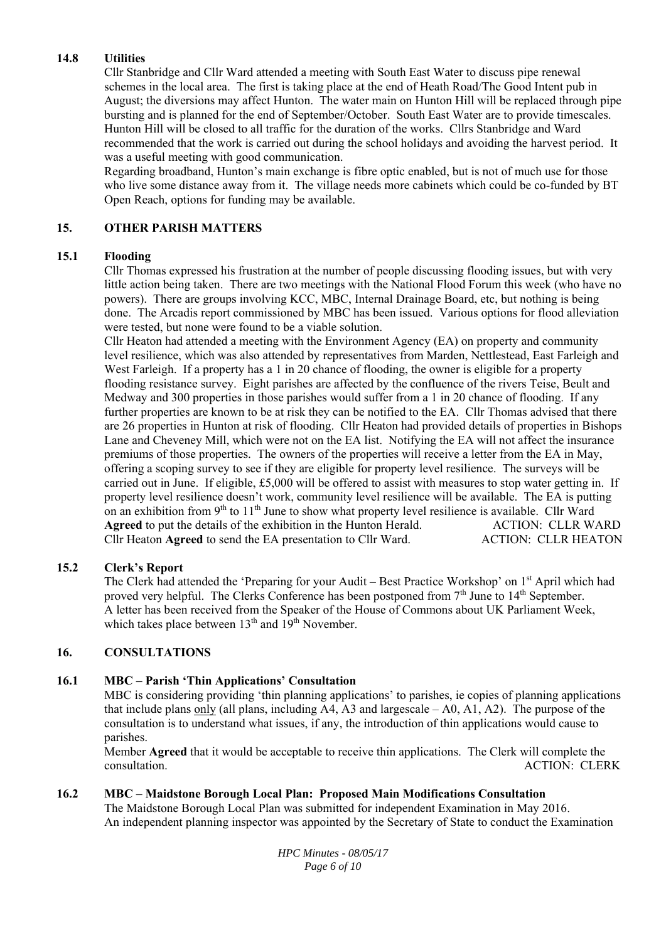#### **14.8 Utilities**

Cllr Stanbridge and Cllr Ward attended a meeting with South East Water to discuss pipe renewal schemes in the local area. The first is taking place at the end of Heath Road/The Good Intent pub in August; the diversions may affect Hunton. The water main on Hunton Hill will be replaced through pipe bursting and is planned for the end of September/October. South East Water are to provide timescales. Hunton Hill will be closed to all traffic for the duration of the works. Cllrs Stanbridge and Ward recommended that the work is carried out during the school holidays and avoiding the harvest period. It was a useful meeting with good communication.

Regarding broadband, Hunton's main exchange is fibre optic enabled, but is not of much use for those who live some distance away from it. The village needs more cabinets which could be co-funded by BT Open Reach, options for funding may be available.

#### **15. OTHER PARISH MATTERS**

#### **15.1 Flooding**

Cllr Thomas expressed his frustration at the number of people discussing flooding issues, but with very little action being taken. There are two meetings with the National Flood Forum this week (who have no powers). There are groups involving KCC, MBC, Internal Drainage Board, etc, but nothing is being done. The Arcadis report commissioned by MBC has been issued. Various options for flood alleviation were tested, but none were found to be a viable solution.

Cllr Heaton had attended a meeting with the Environment Agency (EA) on property and community level resilience, which was also attended by representatives from Marden, Nettlestead, East Farleigh and West Farleigh. If a property has a 1 in 20 chance of flooding, the owner is eligible for a property flooding resistance survey. Eight parishes are affected by the confluence of the rivers Teise, Beult and Medway and 300 properties in those parishes would suffer from a 1 in 20 chance of flooding. If any further properties are known to be at risk they can be notified to the EA. Cllr Thomas advised that there are 26 properties in Hunton at risk of flooding. Cllr Heaton had provided details of properties in Bishops Lane and Cheveney Mill, which were not on the EA list. Notifying the EA will not affect the insurance premiums of those properties. The owners of the properties will receive a letter from the EA in May, offering a scoping survey to see if they are eligible for property level resilience. The surveys will be carried out in June. If eligible, £5,000 will be offered to assist with measures to stop water getting in. If property level resilience doesn't work, community level resilience will be available. The EA is putting on an exhibition from  $9<sup>th</sup>$  to  $11<sup>th</sup>$  June to show what property level resilience is available. Cllr Ward **Agreed** to put the details of the exhibition in the Hunton Herald. ACTION: CLLR WARD Cllr Heaton **Agreed** to send the EA presentation to Cllr Ward. ACTION: CLLR HEATON

#### **15.2 Clerk's Report**

The Clerk had attended the 'Preparing for your Audit – Best Practice Workshop' on 1<sup>st</sup> April which had proved very helpful. The Clerks Conference has been postponed from 7<sup>th</sup> June to 14<sup>th</sup> September. A letter has been received from the Speaker of the House of Commons about UK Parliament Week, which takes place between  $13<sup>th</sup>$  and  $19<sup>th</sup>$  November.

#### **16. CONSULTATIONS**

#### **16.1 MBC – Parish 'Thin Applications' Consultation**

MBC is considering providing 'thin planning applications' to parishes, ie copies of planning applications that include plans only (all plans, including  $A4$ ,  $A3$  and largescale  $- A0$ ,  $A1$ ,  $A2$ ). The purpose of the consultation is to understand what issues, if any, the introduction of thin applications would cause to parishes.

Member **Agreed** that it would be acceptable to receive thin applications. The Clerk will complete the consultation. ACTION: CLERK

#### **16.2 MBC – Maidstone Borough Local Plan: Proposed Main Modifications Consultation**

The Maidstone Borough Local Plan was submitted for independent Examination in May 2016. An independent planning inspector was appointed by the Secretary of State to conduct the Examination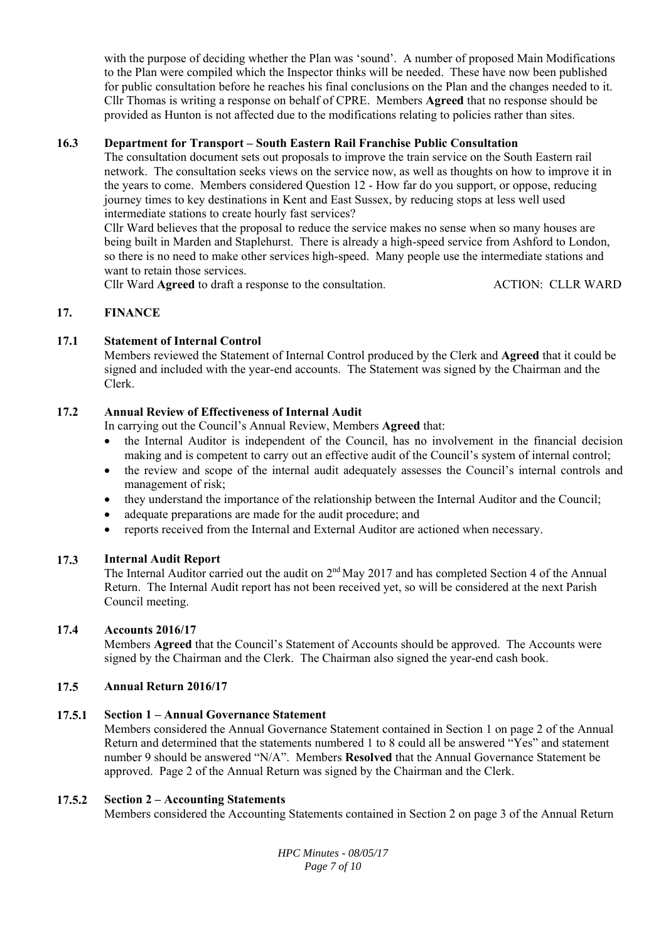with the purpose of deciding whether the Plan was 'sound'. A number of proposed Main Modifications to the Plan were compiled which the Inspector thinks will be needed. These have now been published for public consultation before he reaches his final conclusions on the Plan and the changes needed to it. Cllr Thomas is writing a response on behalf of CPRE. Members **Agreed** that no response should be provided as Hunton is not affected due to the modifications relating to policies rather than sites.

#### **16.3 Department for Transport – South Eastern Rail Franchise Public Consultation**

The consultation document sets out proposals to improve the train service on the South Eastern rail network. The consultation seeks views on the service now, as well as thoughts on how to improve it in the years to come. Members considered Question 12 - How far do you support, or oppose, reducing journey times to key destinations in Kent and East Sussex, by reducing stops at less well used intermediate stations to create hourly fast services?

Cllr Ward believes that the proposal to reduce the service makes no sense when so many houses are being built in Marden and Staplehurst. There is already a high-speed service from Ashford to London, so there is no need to make other services high-speed. Many people use the intermediate stations and want to retain those services.

Cllr Ward **Agreed** to draft a response to the consultation. ACTION: CLLR WARD

#### **17. FINANCE**

#### **17.1 Statement of Internal Control**

Members reviewed the Statement of Internal Control produced by the Clerk and **Agreed** that it could be signed and included with the year-end accounts. The Statement was signed by the Chairman and the Clerk.

#### **17.2 Annual Review of Effectiveness of Internal Audit**

In carrying out the Council's Annual Review, Members **Agreed** that:

- the Internal Auditor is independent of the Council, has no involvement in the financial decision making and is competent to carry out an effective audit of the Council's system of internal control;
- the review and scope of the internal audit adequately assesses the Council's internal controls and management of risk;
- they understand the importance of the relationship between the Internal Auditor and the Council;
- adequate preparations are made for the audit procedure; and
- reports received from the Internal and External Auditor are actioned when necessary.

#### **17.3 Internal Audit Report**

The Internal Auditor carried out the audit on 2<sup>nd</sup> May 2017 and has completed Section 4 of the Annual Return. The Internal Audit report has not been received yet, so will be considered at the next Parish Council meeting.

#### **17.4 Accounts 2016/17**

Members **Agreed** that the Council's Statement of Accounts should be approved. The Accounts were signed by the Chairman and the Clerk. The Chairman also signed the year-end cash book.

#### **17.5 Annual Return 2016/17**

#### **17.5.1 Section 1 – Annual Governance Statement**

Members considered the Annual Governance Statement contained in Section 1 on page 2 of the Annual Return and determined that the statements numbered 1 to 8 could all be answered "Yes" and statement number 9 should be answered "N/A". Members **Resolved** that the Annual Governance Statement be approved. Page 2 of the Annual Return was signed by the Chairman and the Clerk.

#### **17.5.2 Section 2 – Accounting Statements**

Members considered the Accounting Statements contained in Section 2 on page 3 of the Annual Return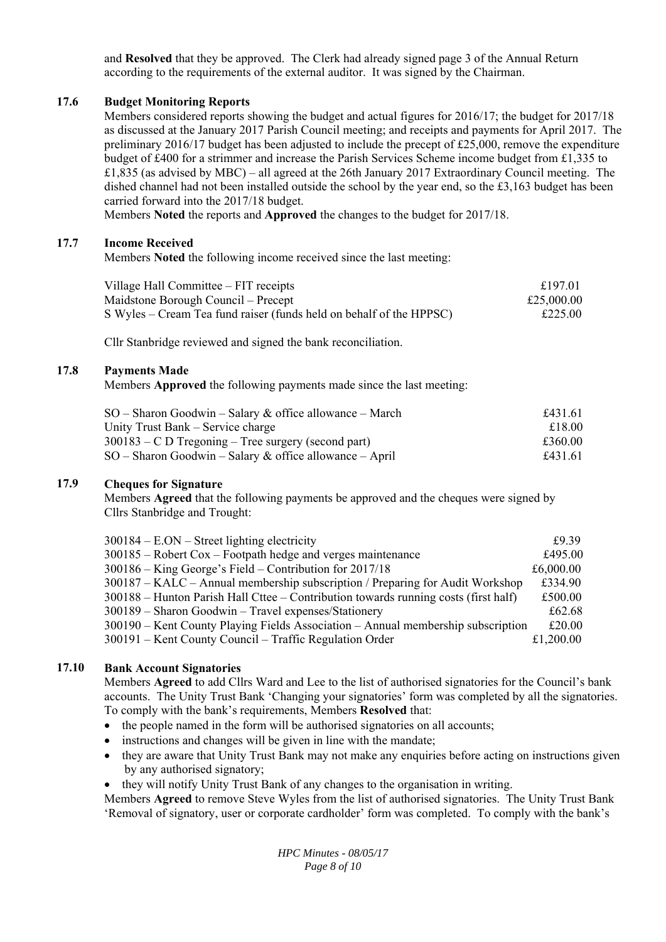and **Resolved** that they be approved. The Clerk had already signed page 3 of the Annual Return according to the requirements of the external auditor. It was signed by the Chairman.

#### **17.6 Budget Monitoring Reports**

Members considered reports showing the budget and actual figures for 2016/17; the budget for 2017/18 as discussed at the January 2017 Parish Council meeting; and receipts and payments for April 2017. The preliminary  $2016/17$  budget has been adjusted to include the precept of £25,000, remove the expenditure budget of £400 for a strimmer and increase the Parish Services Scheme income budget from £1,335 to £1,835 (as advised by MBC) – all agreed at the 26th January 2017 Extraordinary Council meeting. The dished channel had not been installed outside the school by the year end, so the £3,163 budget has been carried forward into the 2017/18 budget.

Members **Noted** the reports and **Approved** the changes to the budget for 2017/18.

#### **17.7 Income Received**

Members **Noted** the following income received since the last meeting:

| Village Hall Committee – FIT receipts                               | £197.01    |
|---------------------------------------------------------------------|------------|
| Maidstone Borough Council – Precept                                 | £25,000.00 |
| S Wyles – Cream Tea fund raiser (funds held on behalf of the HPPSC) | £225.00    |

Cllr Stanbridge reviewed and signed the bank reconciliation.

#### **17.8 Payments Made**

Members **Approved** the following payments made since the last meeting:

| $SO -$ Sharon Goodwin – Salary & office allowance – March | £431.61 |
|-----------------------------------------------------------|---------|
| Unity Trust Bank – Service charge                         | £18.00  |
| $300183 - C D$ Tregoning – Tree surgery (second part)     | £360.00 |
| $SO -$ Sharon Goodwin – Salary & office allowance – April | £431.61 |

#### **17.9 Cheques for Signature**

Members **Agreed** that the following payments be approved and the cheques were signed by Cllrs Stanbridge and Trought:

| $300184 - E. ON - Street lighting electricity$                                        | £9.39     |
|---------------------------------------------------------------------------------------|-----------|
| $300185$ – Robert Cox – Footpath hedge and verges maintenance                         | £495.00   |
| $300186 -$ King George's Field – Contribution for 2017/18                             | £6,000.00 |
| $300187 - KALC - Annual membership$ subscription / Preparing for Audit Workshop       | £334.90   |
| $300188$ – Hunton Parish Hall Cttee – Contribution towards running costs (first half) | £500.00   |
| 300189 - Sharon Goodwin - Travel expenses/Stationery                                  | £62.68    |
| 300190 – Kent County Playing Fields Association – Annual membership subscription      | £20.00    |
| 300191 – Kent County Council – Traffic Regulation Order                               | £1,200.00 |

#### **17.10 Bank Account Signatories**

Members **Agreed** to add Cllrs Ward and Lee to the list of authorised signatories for the Council's bank accounts. The Unity Trust Bank 'Changing your signatories' form was completed by all the signatories. To comply with the bank's requirements, Members **Resolved** that:

- the people named in the form will be authorised signatories on all accounts;
- instructions and changes will be given in line with the mandate;
- they are aware that Unity Trust Bank may not make any enquiries before acting on instructions given by any authorised signatory;
- they will notify Unity Trust Bank of any changes to the organisation in writing.

Members **Agreed** to remove Steve Wyles from the list of authorised signatories. The Unity Trust Bank 'Removal of signatory, user or corporate cardholder' form was completed. To comply with the bank's

> *HPC Minutes - 08/05/17 Page 8 of 10*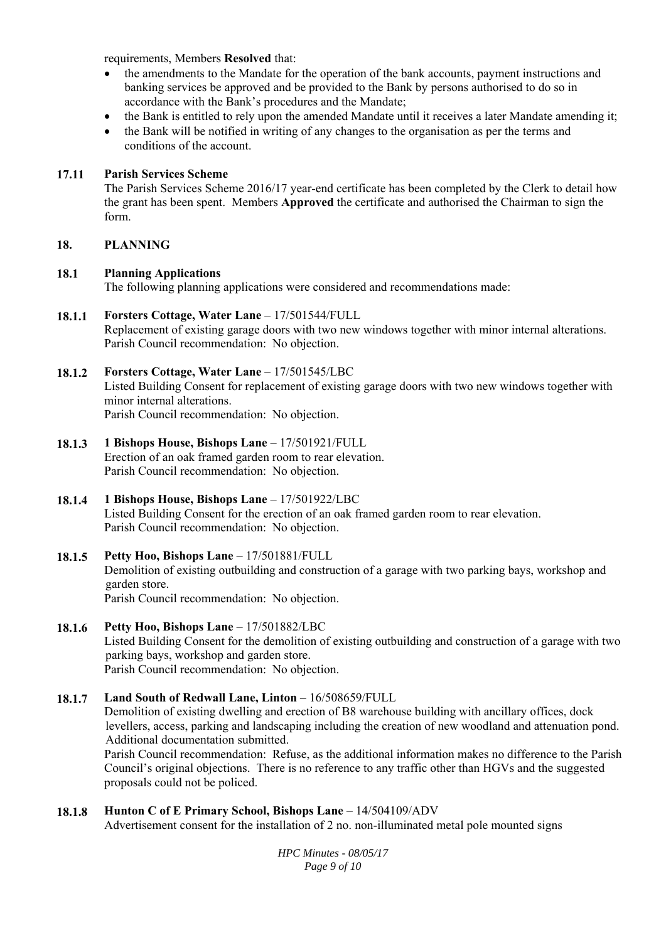requirements, Members **Resolved** that:

- the amendments to the Mandate for the operation of the bank accounts, payment instructions and banking services be approved and be provided to the Bank by persons authorised to do so in accordance with the Bank's procedures and the Mandate;
- the Bank is entitled to rely upon the amended Mandate until it receives a later Mandate amending it;
- the Bank will be notified in writing of any changes to the organisation as per the terms and conditions of the account.

#### **17.11 Parish Services Scheme**

The Parish Services Scheme 2016/17 year-end certificate has been completed by the Clerk to detail how the grant has been spent. Members **Approved** the certificate and authorised the Chairman to sign the form.

#### **18. PLANNING**

#### **18.1 Planning Applications**

The following planning applications were considered and recommendations made:

#### **18.1.1 Forsters Cottage, Water Lane** – 17/501544/FULL

Replacement of existing garage doors with two new windows together with minor internal alterations. Parish Council recommendation: No objection.

#### **18.1.2 Forsters Cottage, Water Lane** – 17/501545/LBC

Listed Building Consent for replacement of existing garage doors with two new windows together with minor internal alterations. Parish Council recommendation: No objection.

**18.1.3 1 Bishops House, Bishops Lane** – 17/501921/FULL Erection of an oak framed garden room to rear elevation. Parish Council recommendation: No objection.

## **18.1.4 1 Bishops House, Bishops Lane** – 17/501922/LBC Listed Building Consent for the erection of an oak framed garden room to rear elevation. Parish Council recommendation: No objection.

- **18.1.5**  Petty Hoo, Bishops Lane - 17/501881/FULL Demolition of existing outbuilding and construction of a garage with two parking bays, workshop and garden store. Parish Council recommendation: No objection.
- **18.1.6 Petty Hoo, Bishops Lane** – 17/501882/LBC Listed Building Consent for the demolition of existing outbuilding and construction of a garage with two parking bays, workshop and garden store. Parish Council recommendation: No objection.

## **18.1.7 Land South of Redwall Lane, Linton** – 16/508659/FULL Demolition of existing dwelling and erection of B8 warehouse building with ancillary offices, dock levellers, access, parking and landscaping including the creation of new woodland and attenuation pond. Additional documentation submitted. Parish Council recommendation: Refuse, as the additional information makes no difference to the Parish Council's original objections. There is no reference to any traffic other than HGVs and the suggested proposals could not be policed.

#### **18.1.8**  Hunton C of E Primary School, Bishops Lane – 14/504109/ADV

Advertisement consent for the installation of 2 no. non-illuminated metal pole mounted signs